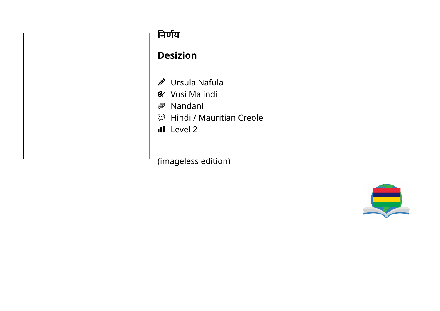| निर्णय                                                                                                              |
|---------------------------------------------------------------------------------------------------------------------|
| <b>Desizion</b>                                                                                                     |
| <i>M</i> Ursula Na<br><b>&amp;</b> Vusi Malir<br><b>图 Nandani</b><br>$\mathfrak{D}$ Hindi / Ma<br><b>il</b> Level 2 |
| limanglass ar                                                                                                       |

- afula
- ndi
- auritian Creole

(imageless edition)

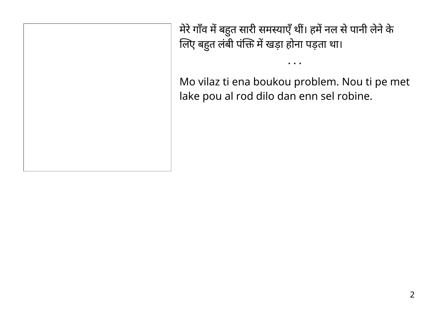मेरे गाँव में बहुत सारी समस्याएँ थी। हमें नल से पानी लेने के लिए बहुत लंबी पंक्ति में खड़ा होना पड़ता था।

Mo vilaz ti ena boukou problem. Nou ti pe met lake pou al rod dilo dan enn sel robine.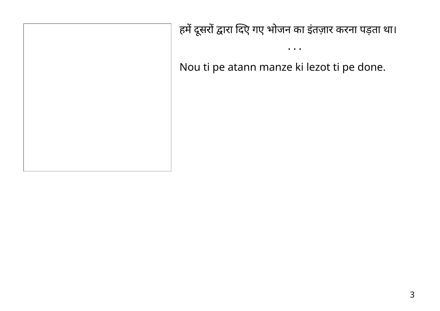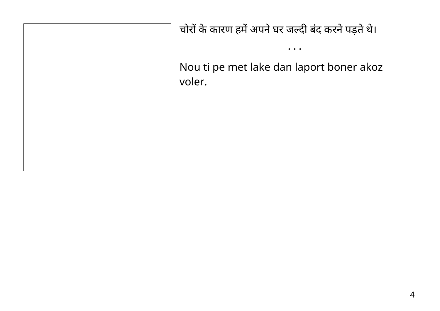चोरों के कारण हमें अपने घर जल्दी बंद करने पड़ते थे।

Nou ti pe met lake dan laport boner akoz voler.

 $\bullet\quad \bullet\quad \bullet$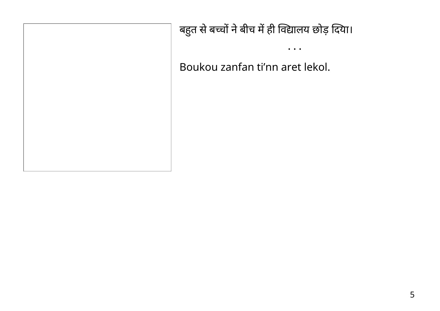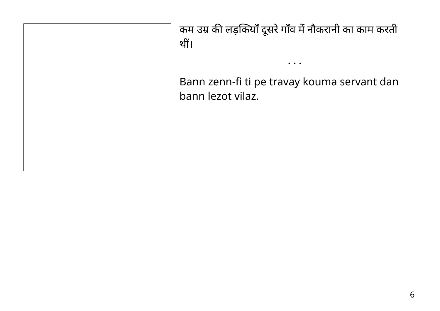कम उम्र की लड़कियाँ दूसरे गाँव में नौकरानी का काम करती थीं।

Bann zenn-fi ti pe travay kouma servant dan bann lezot vilaz.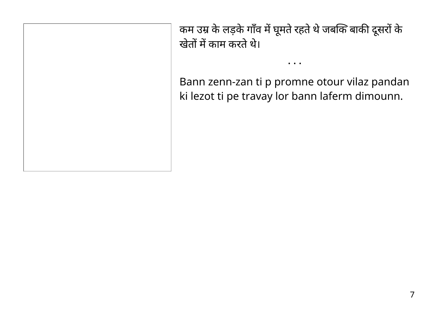कम उम्र के लड़के गाँव में घूमते रहते थे जबकि बाकी दूसरों के खेतों में काम करते थे।

Bann zenn-zan ti p promne otour vilaz pandan ki lezot ti pe travay lor bann laferm dimounn.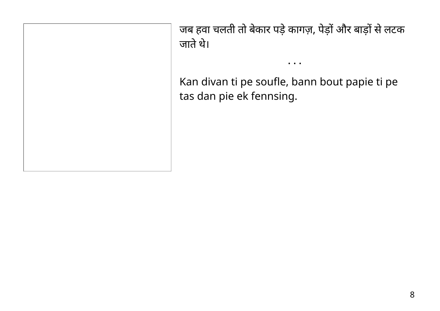जब हवा चलती तो बेकार पड़े कागज़, पेड़ों और बाड़ों से लटक जातेथे। • • • Kan divan ti pe soufle, bann bout papie ti pe tas dan pie ek fennsing.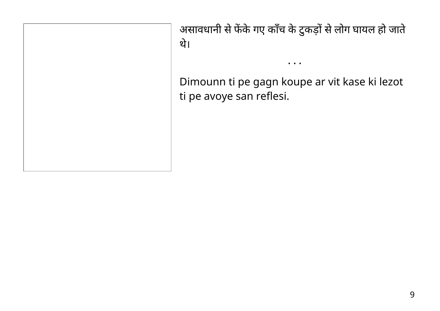असावधानी से फेंके गए काँच के टुकड़ों से लोग घायल हो जाते थे।

Dimounn ti pe gagn koupe ar vit kase ki lezot ti pe avoye san reflesi.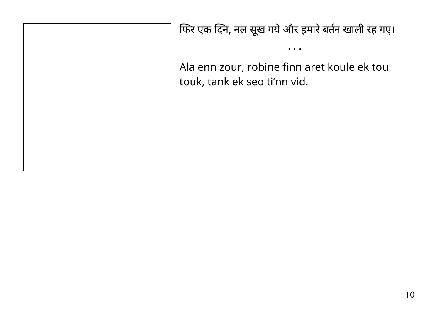फिर एक दिने, नल सूख गये और हमारे बर्तन खाली रह गए।

 $\bullet\quad \bullet\quad \bullet$ 

Ala enn zour, robine finn aret koule ek tou touk, tank ek seo ti'nn vid.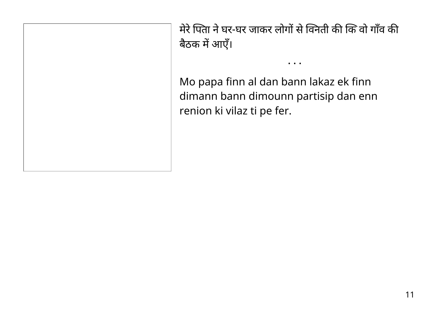मेरे पिता ने घर-घर जाकर लोगों से विनेती की कि वो गाँव की बैठक में आएं।

• • •

Mo papa finn al dan bann lakaz ek finn dimann bann dimounn partisip dan enn renion ki vilaz ti pe fer.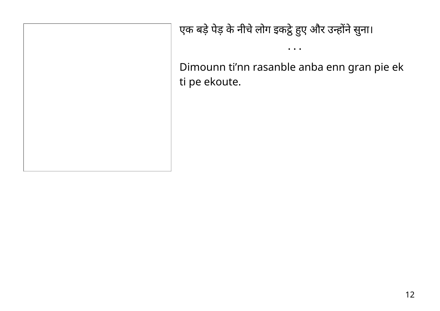एक बड़े पेड़ के नीचे लोग इकट्ठे हुए और उन्होंने सुना।

Dimounn ti'nn rasanble anba enn gran pie ek ti pe ekoute.

 $\bullet\quad\bullet\quad\bullet$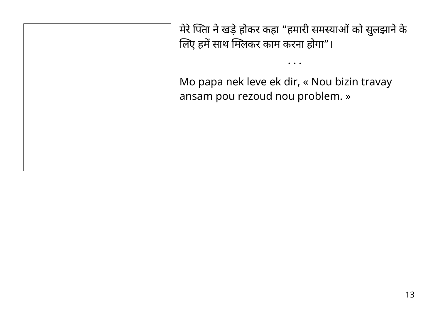मेरे पिता ने खड़े होकर कहा "हमारी समस्याओं को सुलझाने के लिए हमें साथ मिलकर काम करना होगा"।

• • •

Mo papa nek leve ek dir, « Nou bizin travay ansam pou rezoud nou problem. »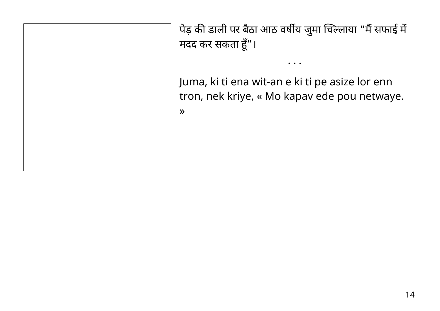पेड़ की डाली पर बैठा आठ वर्षीय जुमा चिल्लाया "मैं सफाई में मदद कर सकता हूँ"।

• • •

Juma, ki ti ena wit-an e ki ti pe asize lor enn tron, nek kriye, « Mo kapav ede pou netwaye.

»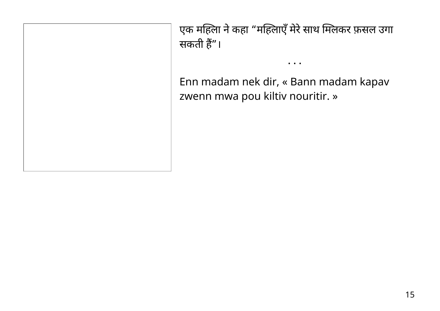एक मोहला ने कहा "मोहलाएँ मेरे साथ मिलेकर फ़सल उगा सकती हैं"।

• • •

Enn madam nek dir, « Bann madam kapav zwenn mwa pou kiltiv nouritir. »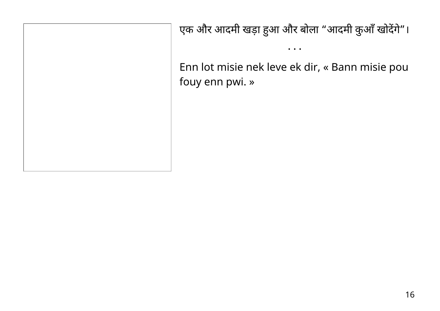एक और आदमी खड़ा हुआ और बोला "आदमी कुआँ खोदेंगे"।

• • •

Enn lot misie nek leve ek dir, « Bann misie pou fouy enn pwi. »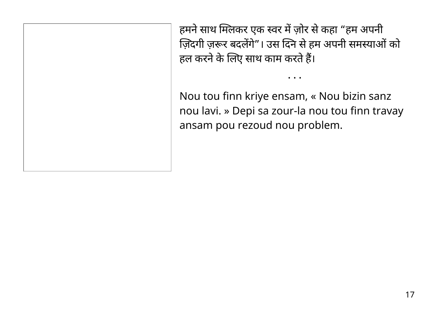हमने साथ मिलकर एक स्वर में ज़ोर से कहा "हम अपनी ज़िदगी ज़रूर बदलेंगे"। उस दिने से हम अपनी समस्याओं को हल करने के लिए साथ काम करते हैं।

Nou tou finn kriye ensam, « Nou bizin sanz nou lavi. » Depi sa zour-la nou tou finn travay ansam pou rezoud nou problem.